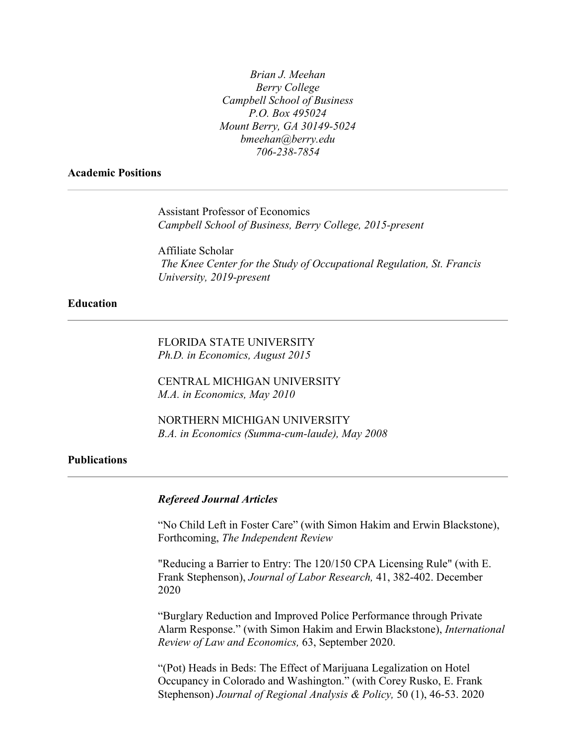*Brian J. Meehan Berry College Campbell School of Business P.O. Box 495024 Mount Berry, GA 30149-5024 bmeehan@berry.edu 706-238-7854*

## **Academic Positions**

Assistant Professor of Economics *Campbell School of Business, Berry College, 2015-present*

Affiliate Scholar *The Knee Center for the Study of Occupational Regulation, St. Francis University, 2019-present*

# **Education**

FLORIDA STATE UNIVERSITY *Ph.D. in Economics, August 2015*

CENTRAL MICHIGAN UNIVERSITY *M.A. in Economics, May 2010*

NORTHERN MICHIGAN UNIVERSITY *B.A. in Economics (Summa-cum-laude), May 2008*

## **Publications**

#### *Refereed Journal Articles*

"No Child Left in Foster Care" (with Simon Hakim and Erwin Blackstone), Forthcoming, *The Independent Review*

"Reducing a Barrier to Entry: The 120/150 CPA Licensing Rule" (with E. Frank Stephenson), *Journal of Labor Research,* 41, 382-402. December 2020

"Burglary Reduction and Improved Police Performance through Private Alarm Response." (with Simon Hakim and Erwin Blackstone), *International Review of Law and Economics,* 63, September 2020.

"(Pot) Heads in Beds: The Effect of Marijuana Legalization on Hotel Occupancy in Colorado and Washington." (with Corey Rusko, E. Frank Stephenson) *Journal of Regional Analysis & Policy,* 50 (1), 46-53. 2020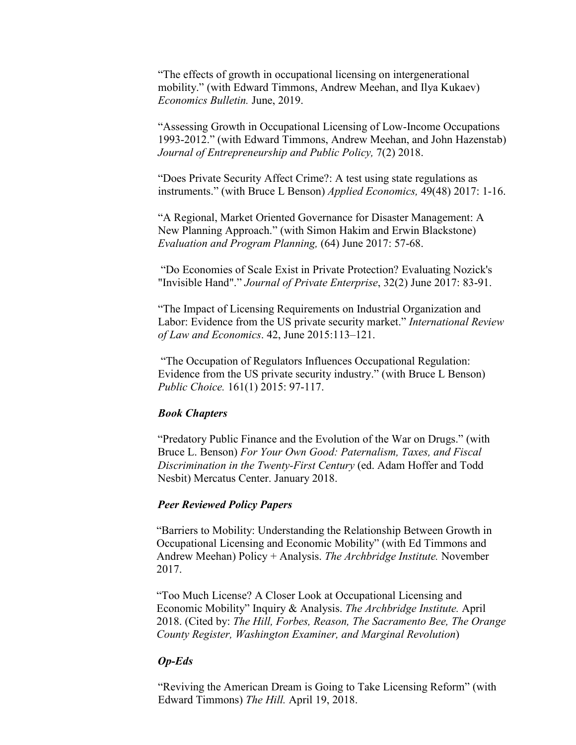"The effects of growth in occupational licensing on intergenerational mobility." (with Edward Timmons, Andrew Meehan, and Ilya Kukaev) *Economics Bulletin.* June, 2019.

"Assessing Growth in Occupational Licensing of Low-Income Occupations 1993-2012." (with Edward Timmons, Andrew Meehan, and John Hazenstab) *Journal of Entrepreneurship and Public Policy,* 7(2) 2018.

"Does Private Security Affect Crime?: A test using state regulations as instruments." (with Bruce L Benson) *Applied Economics,* 49(48) 2017: 1-16.

"A Regional, Market Oriented Governance for Disaster Management: A New Planning Approach." (with Simon Hakim and Erwin Blackstone) *Evaluation and Program Planning,* (64) June 2017: 57-68.

"Do Economies of Scale Exist in Private Protection? Evaluating Nozick's "Invisible Hand"." *Journal of Private Enterprise*, 32(2) June 2017: 83-91.

"The Impact of Licensing Requirements on Industrial Organization and Labor: Evidence from the US private security market." *International Review of Law and Economics*. 42, June 2015:113–121.

"The Occupation of Regulators Influences Occupational Regulation: Evidence from the US private security industry." (with Bruce L Benson) *Public Choice.* 161(1) 2015: 97-117.

## *Book Chapters*

"Predatory Public Finance and the Evolution of the War on Drugs." (with Bruce L. Benson) *For Your Own Good: Paternalism, Taxes, and Fiscal Discrimination in the Twenty-First Century* (ed. Adam Hoffer and Todd Nesbit) Mercatus Center. January 2018.

### *Peer Reviewed Policy Papers*

"Barriers to Mobility: Understanding the Relationship Between Growth in Occupational Licensing and Economic Mobility" (with Ed Timmons and Andrew Meehan) Policy + Analysis. *The Archbridge Institute.* November 2017.

"Too Much License? A Closer Look at Occupational Licensing and Economic Mobility" Inquiry & Analysis. *The Archbridge Institute.* April 2018. (Cited by: *The Hill, Forbes, Reason, The Sacramento Bee, The Orange County Register, Washington Examiner, and Marginal Revolution*)

#### *Op-Eds*

"Reviving the American Dream is Going to Take Licensing Reform" (with Edward Timmons) *The Hill.* April 19, 2018.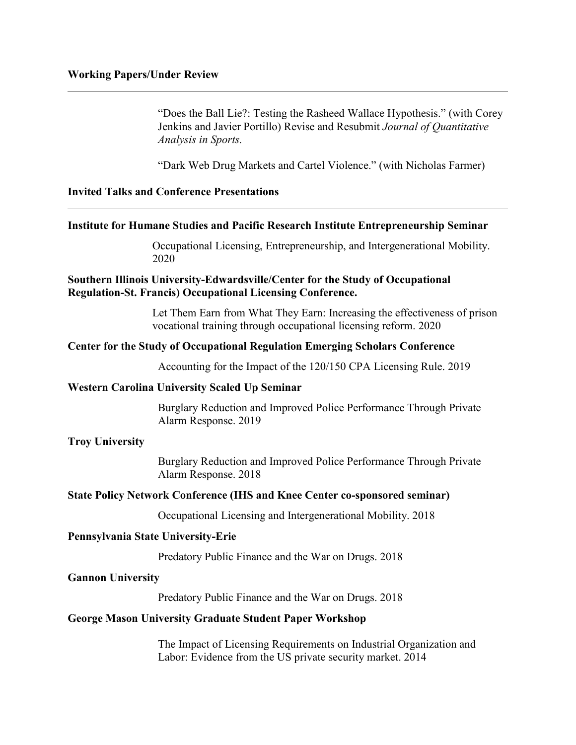"Does the Ball Lie?: Testing the Rasheed Wallace Hypothesis." (with Corey Jenkins and Javier Portillo) Revise and Resubmit *Journal of Quantitative Analysis in Sports.*

"Dark Web Drug Markets and Cartel Violence." (with Nicholas Farmer)

**Invited Talks and Conference Presentations**

### **Institute for Humane Studies and Pacific Research Institute Entrepreneurship Seminar**

Occupational Licensing, Entrepreneurship, and Intergenerational Mobility. 2020

# **Southern Illinois University-Edwardsville/Center for the Study of Occupational Regulation-St. Francis) Occupational Licensing Conference.**

Let Them Earn from What They Earn: Increasing the effectiveness of prison vocational training through occupational licensing reform. 2020

## **Center for the Study of Occupational Regulation Emerging Scholars Conference**

Accounting for the Impact of the 120/150 CPA Licensing Rule. 2019

## **Western Carolina University Scaled Up Seminar**

Burglary Reduction and Improved Police Performance Through Private Alarm Response. 2019

#### **Troy University**

Burglary Reduction and Improved Police Performance Through Private Alarm Response. 2018

#### **State Policy Network Conference (IHS and Knee Center co-sponsored seminar)**

Occupational Licensing and Intergenerational Mobility. 2018

#### **Pennsylvania State University-Erie**

Predatory Public Finance and the War on Drugs. 2018

#### **Gannon University**

Predatory Public Finance and the War on Drugs. 2018

## **George Mason University Graduate Student Paper Workshop**

The Impact of Licensing Requirements on Industrial Organization and Labor: Evidence from the US private security market. 2014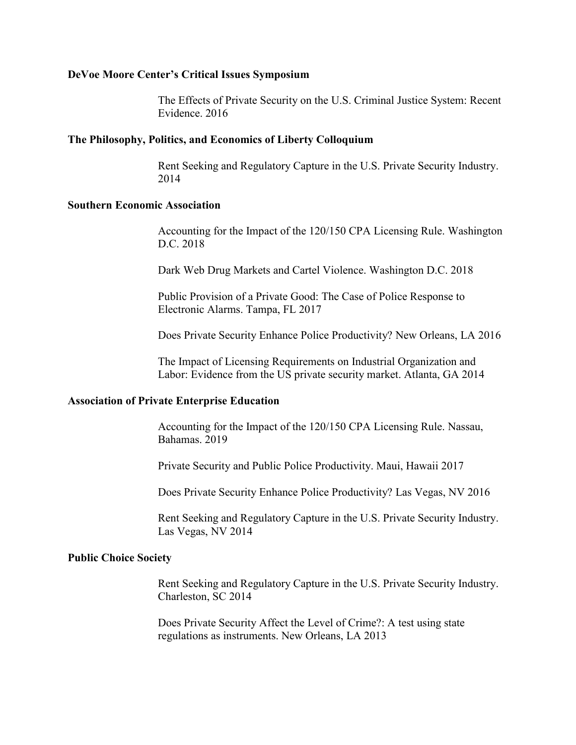### **DeVoe Moore Center's Critical Issues Symposium**

The Effects of Private Security on the U.S. Criminal Justice System: Recent Evidence. 2016

## **The Philosophy, Politics, and Economics of Liberty Colloquium**

Rent Seeking and Regulatory Capture in the U.S. Private Security Industry. 2014

## **Southern Economic Association**

Accounting for the Impact of the 120/150 CPA Licensing Rule. Washington D.C. 2018

Dark Web Drug Markets and Cartel Violence. Washington D.C. 2018

Public Provision of a Private Good: The Case of Police Response to Electronic Alarms. Tampa, FL 2017

Does Private Security Enhance Police Productivity? New Orleans, LA 2016

The Impact of Licensing Requirements on Industrial Organization and Labor: Evidence from the US private security market. Atlanta, GA 2014

## **Association of Private Enterprise Education**

Accounting for the Impact of the 120/150 CPA Licensing Rule. Nassau, Bahamas. 2019

Private Security and Public Police Productivity. Maui, Hawaii 2017

Does Private Security Enhance Police Productivity? Las Vegas, NV 2016

Rent Seeking and Regulatory Capture in the U.S. Private Security Industry. Las Vegas, NV 2014

## **Public Choice Society**

Rent Seeking and Regulatory Capture in the U.S. Private Security Industry. Charleston, SC 2014

Does Private Security Affect the Level of Crime?: A test using state regulations as instruments. New Orleans, LA 2013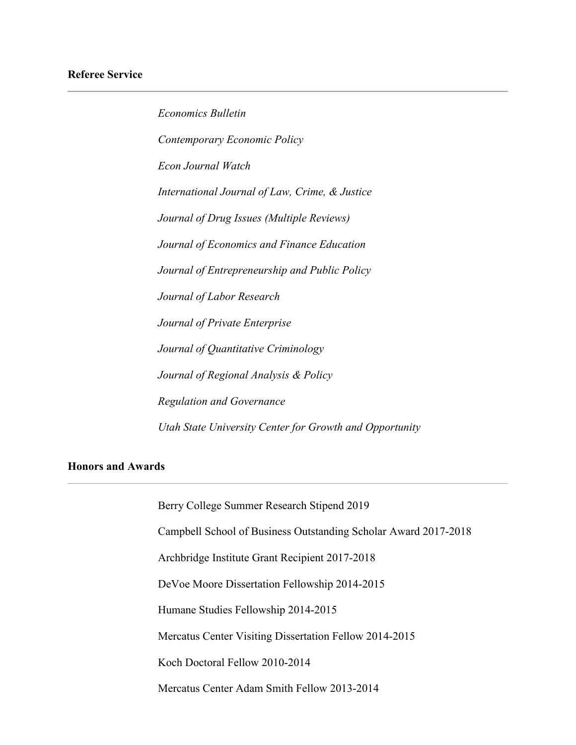*Economics Bulletin Contemporary Economic Policy Econ Journal Watch International Journal of Law, Crime, & Justice Journal of Drug Issues (Multiple Reviews) Journal of Economics and Finance Education Journal of Entrepreneurship and Public Policy Journal of Labor Research Journal of Private Enterprise Journal of Quantitative Criminology Journal of Regional Analysis & Policy Regulation and Governance Utah State University Center for Growth and Opportunity*

# **Honors and Awards**

Berry College Summer Research Stipend 2019 Campbell School of Business Outstanding Scholar Award 2017-2018 Archbridge Institute Grant Recipient 2017-2018 DeVoe Moore Dissertation Fellowship 2014-2015 Humane Studies Fellowship 2014-2015 Mercatus Center Visiting Dissertation Fellow 2014-2015 Koch Doctoral Fellow 2010-2014 Mercatus Center Adam Smith Fellow 2013-2014